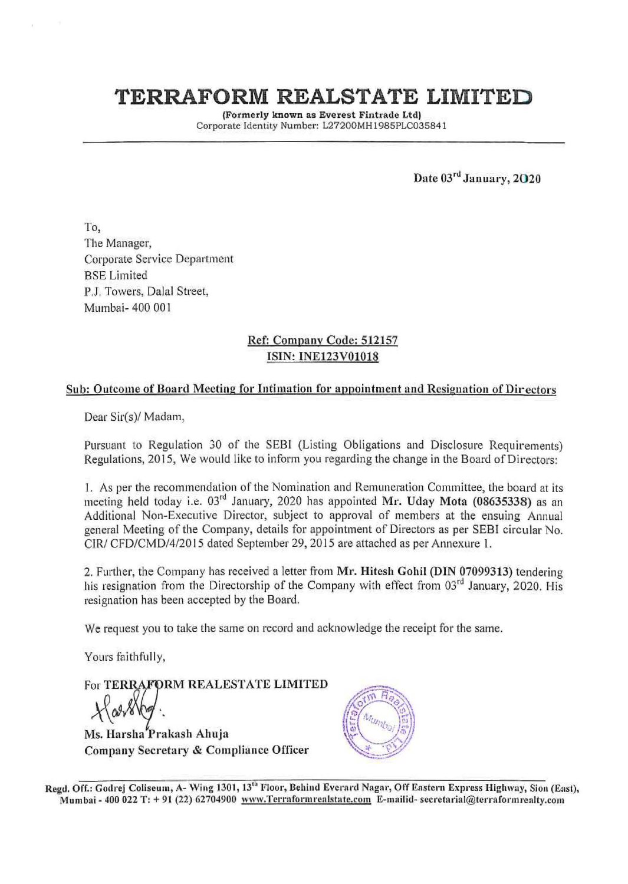# **TERRAFORM REALSTATE LIMITED**

(Formerly known as Everest Fintrade Ltd) Corporate Identity Number: L27200MH 1 985PLC035841

Date  $03<sup>rd</sup>$  January, 2020

To, The Manager, Corporate Service Department BSE Limited P.J. Towers, Dalal Street, Mumbai- 400 00 I

### Ref: Companv Code: 512157 ISIN: INE123V01018

### Sub: Outcome of Board Meeting for Intimation for appointment and Resignation of Directors

Dear Sir(s)/ Madam,

Pursuant to Regulation 30 of the SEBI (Listing Obligations and Disclosure Requirements) Regulations, 2015, We would like to inform you regarding the change in the Board of Directors:

1. As per the recommendation of the Nomination and Remuneration Committee, the board at its meeting held today i.e. 03<sup>rd</sup> January, 2020 has appointed Mr. Uday Mota (08635338) as an Additional Non-Executive Director, subject to approval of members at the ensuing Annual general Meeting of the Company, details for appointment of Directors as per SEBI circular No. CIR/ CFD/CMD/4/2015 dated September 29, 2015 are attached as per Annexure 1.

2. Further, the Company has received a letter from Mr. Hitesh Gohil (DIN 07099313) tendering his resignation from the Directorship of the Company with effect from 03<sup>rd</sup> January, 2020. His resignation has been accepted by the Board.

We request you to take the same on record and acknowledge the receipt for the same.

Yours faithfully,

For TERRAFORM REALESTATE LIMITED

Ms. Harsha Prakash Ahuja Company Secretary & Compliance Officer



Regd. Off.: Godrej Coliseum, A- Wing 1301, 13<sup>th</sup> Floor, Behind Everard Nagar, Off Eastern Express Highway, Sion (East), Mumbai - 400 022 T: + 91 (22) 62704900 www.Terraformrealstate.com E-mailid- secretarial@terraformrealty.com